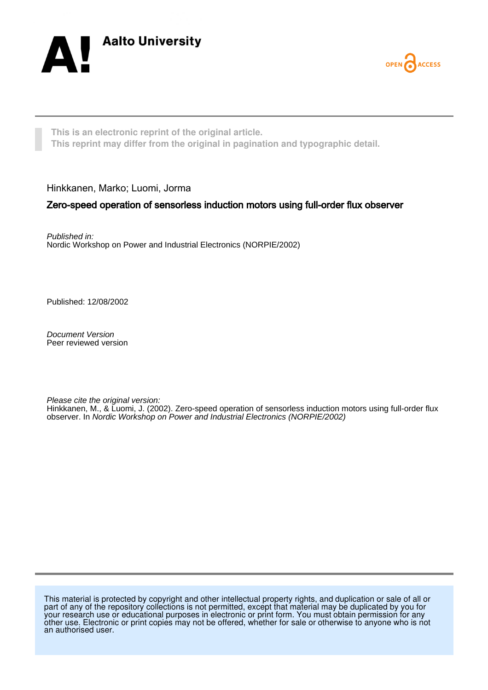



**This is an electronic reprint of the original article. This reprint may differ from the original in pagination and typographic detail.**

Hinkkanen, Marko; Luomi, Jorma

# Zero-speed operation of sensorless induction motors using full-order flux observer

Published in: Nordic Workshop on Power and Industrial Electronics (NORPIE/2002)

Published: 12/08/2002

Document Version Peer reviewed version

Please cite the original version:

Hinkkanen, M., & Luomi, J. (2002). Zero-speed operation of sensorless induction motors using full-order flux observer. In Nordic Workshop on Power and Industrial Electronics (NORPIE/2002)

This material is protected by copyright and other intellectual property rights, and duplication or sale of all or part of any of the repository collections is not permitted, except that material may be duplicated by you for your research use or educational purposes in electronic or print form. You must obtain permission for any other use. Electronic or print copies may not be offered, whether for sale or otherwise to anyone who is not an authorised user.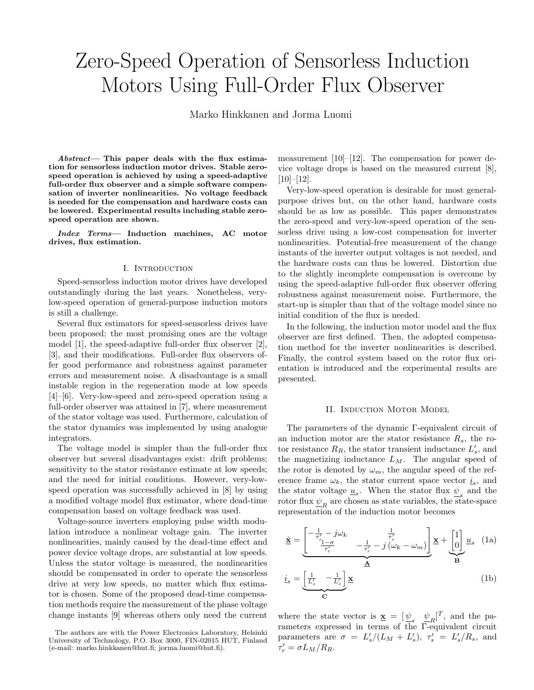# Zero-Speed Operation of Sensorless Induction Motors Using Full-Order Flux Observer

Marko Hinkkanen and Jorma Luomi

Abstract— This paper deals with the flux estimation for sensorless induction motor drives. Stable zerospeed operation is achieved by using a speed-adaptive full-order flux observer and a simple software compensation of inverter nonlinearities. No voltage feedback is needed for the compensation and hardware costs can be lowered. Experimental results including stable zerospeed operation are shown.

Index Terms— Induction machines, AC motor drives, flux estimation.

#### I. Introduction

Speed-sensorless induction motor drives have developed outstandingly during the last years. Nonetheless, verylow-speed operation of general-purpose induction motors is still a challenge.

Several flux estimators for speed-sensorless drives have been proposed; the most promising ones are the voltage model [1], the speed-adaptive full-order flux observer [2], [3], and their modifications. Full-order flux observers offer good performance and robustness against parameter errors and measurement noise. A disadvantage is a small instable region in the regeneration mode at low speeds [4]–[6]. Very-low-speed and zero-speed operation using a full-order observer was attained in [7], where measurement of the stator voltage was used. Furthermore, calculation of the stator dynamics was implemented by using analogue integrators.

The voltage model is simpler than the full-order flux observer but several disadvantages exist: drift problems; sensitivity to the stator resistance estimate at low speeds; and the need for initial conditions. However, very-lowspeed operation was successfully achieved in [8] by using a modified voltage model flux estimator, where dead-time compensation based on voltage feedback was used.

Voltage-source inverters employing pulse width modulation introduce a nonlinear voltage gain. The inverter nonlinearities, mainly caused by the dead-time effect and power device voltage drops, are substantial at low speeds. Unless the stator voltage is measured, the nonlinearities should be compensated in order to operate the sensorless drive at very low speeds, no matter which flux estimator is chosen. Some of the proposed dead-time compensation methods require the measurement of the phase voltage change instants [9] whereas others only need the current measurement [10]–[12]. The compensation for power device voltage drops is based on the measured current [8],  $[10]–[12]$ .

Very-low-speed operation is desirable for most generalpurpose drives but, on the other hand, hardware costs should be as low as possible. This paper demonstrates the zero-speed and very-low-speed operation of the sensorless drive using a low-cost compensation for inverter nonlinearities. Potential-free measurement of the change instants of the inverter output voltages is not needed, and the hardware costs can thus be lowered. Distortion due to the slightly incomplete compensation is overcome by using the speed-adaptive full-order flux observer offering robustness against measurement noise. Furthermore, the start-up is simpler than that of the voltage model since no initial condition of the flux is needed.

In the following, the induction motor model and the flux observer are first defined. Then, the adopted compensation method for the inverter nonlinearities is described. Finally, the control system based on the rotor flux orientation is introduced and the experimental results are presented.

#### II. Induction Motor Model

The parameters of the dynamic Γ-equivalent circuit of an induction motor are the stator resistance  $R_s$ , the rotor resistance  $R_R$ , the stator transient inductance  $L'_s$ , and the magnetizing inductance  $L_M$ . The angular speed of the rotor is denoted by  $\omega_m$ , the angular speed of the reference frame  $\omega_k$ , the stator current space vector  $\underline{i}_s$ , and the stator voltage  $\underline{u}_s$ . When the stator flux  $\underline{\psi}_s$  and the rotor flux  $\underline{\psi}_R$  are chosen as state variables, the state-space representation of the induction motor becomes

$$
\underline{\dot{\mathbf{x}}} = \underbrace{\begin{bmatrix} -\frac{1}{\tau_s'} - j\omega_k & \frac{1}{\tau_s'}\\ \frac{s_{1-\sigma}}{\tau_r'} & -\frac{1}{\tau_r'} - j(\omega_k - \omega_m) \end{bmatrix}}_{\underline{\mathbf{A}}} \underline{\mathbf{x}} + \underbrace{\begin{bmatrix} 1\\0 \end{bmatrix}}_{\underline{\mathbf{B}}} \underline{u}_s \quad (1a)
$$
\n
$$
\underline{i}_s = \underbrace{\begin{bmatrix} \frac{1}{L_s'} & -\frac{1}{L_s'} \end{bmatrix}}_{\underline{\mathbf{C}}} \underline{\mathbf{x}} \qquad (1b)
$$

where the state vector is  $\underline{\mathbf{x}} = [\underline{\psi}_s \quad \underline{\psi}_R]^T$ , and the parameters expressed in terms of the Γ-equivalent circuit parameters are  $\sigma = L'_s/(L_M + L'_s)$ ,  $\tau'_s = L'_s/R_s$ , and  $\tau_r' = \sigma L_M/R_R.$ 

The authors are with the Power Electronics Laboratory, Helsinki University of Technology, P.O. Box 3000, FIN-02015 HUT, Finland (e-mail: marko.hinkkanen@hut.fi; jorma.luomi@hut.fi).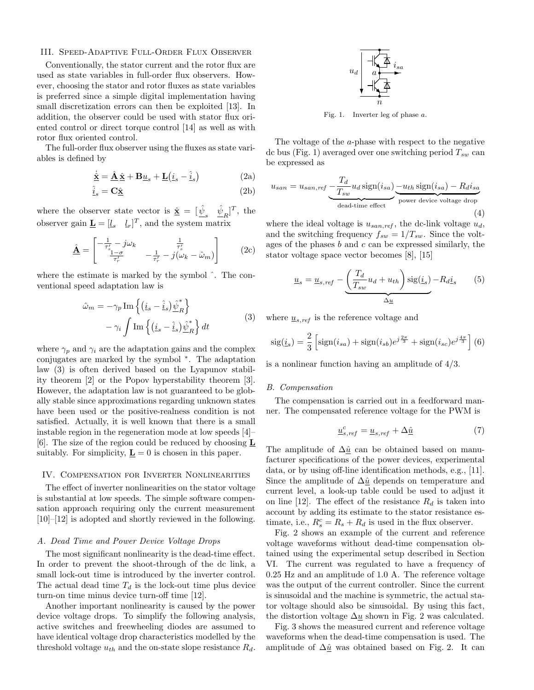### III. Speed-Adaptive Full-Order Flux Observer

Conventionally, the stator current and the rotor flux are used as state variables in full-order flux observers. However, choosing the stator and rotor fluxes as state variables is preferred since a simple digital implementation having small discretization errors can then be exploited [13]. In addition, the observer could be used with stator flux oriented control or direct torque control [14] as well as with rotor flux oriented control.

The full-order flux observer using the fluxes as state variables is defined by

$$
\dot{\underline{\mathbf{x}}} = \underline{\hat{\mathbf{A}}} \underline{\hat{\mathbf{x}}} + \mathbf{B} \underline{u}_s + \underline{\mathbf{L}} (\underline{i}_s - \underline{\hat{i}}_s)
$$
 (2a)

$$
\hat{\underline{i}}_s = \mathbf{C}\hat{\underline{\mathbf{x}}} \tag{2b}
$$

where the observer state vector is  $\hat{\underline{\mathbf{x}}} = [\hat{\psi}_s \quad \hat{\psi}_R]^T$ , the observer gain  $\underline{\mathbf{L}} = [l_s \quad l_r]^T$ , and the system matrix

$$
\hat{\underline{\mathbf{A}}} = \begin{bmatrix} -\frac{1}{\tau_s'} - j\omega_k \\ \frac{1-\sigma}{\tau_r'} & -\frac{1}{\tau_r'} - j(\omega_k - \hat{\omega}_m) \end{bmatrix} \qquad (2c)
$$

where the estimate is marked by the symbol ˆ. The conventional speed adaptation law is

$$
\hat{\omega}_m = -\gamma_p \operatorname{Im} \left\{ (\underline{i}_s - \underline{\hat{i}}_s) \underline{\hat{\psi}}_R^* \right\} \n- \gamma_i \int \operatorname{Im} \left\{ (\underline{i}_s - \underline{\hat{i}}_s) \underline{\hat{\psi}}_R^* \right\} dt
$$
\n(3)

where  $\gamma_p$  and  $\gamma_i$  are the adaptation gains and the complex conjugates are marked by the symbol <sup>∗</sup> . The adaptation law (3) is often derived based on the Lyapunov stability theorem [2] or the Popov hyperstability theorem [3]. However, the adaptation law is not guaranteed to be globally stable since approximations regarding unknown states have been used or the positive-realness condition is not satisfied. Actually, it is well known that there is a small instable region in the regeneration mode at low speeds [4]– [6]. The size of the region could be reduced by choosing  $$ suitably. For simplicity,  $\underline{\mathbf{L}} = 0$  is chosen in this paper.

# IV. Compensation for Inverter Nonlinearities

The effect of inverter nonlinearities on the stator voltage is substantial at low speeds. The simple software compensation approach requiring only the current measurement [10]–[12] is adopted and shortly reviewed in the following.

## A. Dead Time and Power Device Voltage Drops

The most significant nonlinearity is the dead-time effect. In order to prevent the shoot-through of the dc link, a small lock-out time is introduced by the inverter control. The actual dead time  $T_d$  is the lock-out time plus device turn-on time minus device turn-off time [12].

Another important nonlinearity is caused by the power device voltage drops. To simplify the following analysis, active switches and freewheeling diodes are assumed to have identical voltage drop characteristics modelled by the threshold voltage  $u_{th}$  and the on-state slope resistance  $R_d$ .



Fig. 1. Inverter leg of phase a.

The voltage of the a-phase with respect to the negative dc bus (Fig. 1) averaged over one switching period  $T_{sw}$  can be expressed as

$$
u_{san} = u_{san, ref} \underbrace{-\frac{T_d}{T_{sw}} u_d \operatorname{sign}(i_{sa})}_{\text{dead-time effect}} \underbrace{-u_{th} \operatorname{sign}(i_{sa}) - R_d i_{sa}}_{\text{power device voltage drop}}
$$
(4)

where the ideal voltage is  $u_{san,ref}$ , the dc-link voltage  $u_d$ , and the switching frequency  $f_{sw} = 1/T_{sw}$ . Since the voltages of the phases  $b$  and  $c$  can be expressed similarly, the stator voltage space vector becomes [8], [15]

$$
\underline{u}_s = \underline{u}_{s,ref} - \underbrace{\left(\frac{T_d}{T_{sw}}u_d + u_{th}\right) \text{sig}(\underline{i}_s)}_{\Delta \underline{u}} - R_d \underline{i}_s \tag{5}
$$

where  $u_{s,ref}$  is the reference voltage and

$$
sig(\underline{i}_s) = \frac{2}{3} \left[ sign(i_{sa}) + sign(i_{sb})e^{j\frac{2\pi}{3}} + sign(i_{sc})e^{j\frac{4\pi}{3}} \right] (6)
$$

is a nonlinear function having an amplitude of 4/3.

#### B. Compensation

The compensation is carried out in a feedforward manner. The compensated reference voltage for the PWM is

$$
\underline{u}_{s,ref}^c = \underline{u}_{s,ref} + \Delta \hat{\underline{u}} \tag{7}
$$

The amplitude of  $\Delta \hat{u}$  can be obtained based on manufacturer specifications of the power devices, experimental data, or by using off-line identification methods, e.g., [11]. Since the amplitude of  $\Delta \hat{u}$  depends on temperature and current level, a look-up table could be used to adjust it on line [12]. The effect of the resistance  $R_d$  is taken into account by adding its estimate to the stator resistance estimate, i.e.,  $R_s^c = R_s + R_d$  is used in the flux observer.

Fig. 2 shows an example of the current and reference voltage waveforms without dead-time compensation obtained using the experimental setup described in Section VI. The current was regulated to have a frequency of 0.25 Hz and an amplitude of 1.0 A. The reference voltage was the output of the current controller. Since the current is sinusoidal and the machine is symmetric, the actual stator voltage should also be sinusoidal. By using this fact, the distortion voltage  $\Delta u$  shown in Fig. 2 was calculated.

Fig. 3 shows the measured current and reference voltage waveforms when the dead-time compensation is used. The amplitude of  $\Delta \hat{u}$  was obtained based on Fig. 2. It can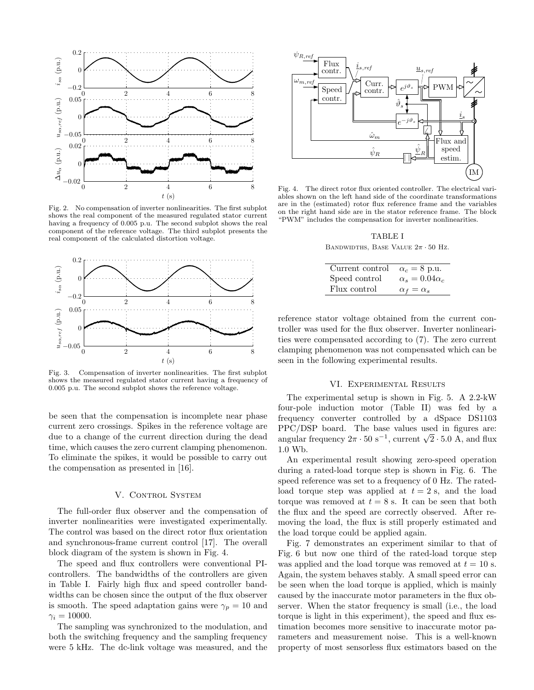

Fig. 2. No compensation of inverter nonlinearities. The first subplot shows the real component of the measured regulated stator current having a frequency of 0.005 p.u. The second subplot shows the real component of the reference voltage. The third subplot presents the real component of the calculated distortion voltage.



Fig. 3. Compensation of inverter nonlinearities. The first subplot shows the measured regulated stator current having a frequency of 0.005 p.u. The second subplot shows the reference voltage.

be seen that the compensation is incomplete near phase current zero crossings. Spikes in the reference voltage are due to a change of the current direction during the dead time, which causes the zero current clamping phenomenon. To eliminate the spikes, it would be possible to carry out the compensation as presented in [16].

### V. CONTROL SYSTEM

The full-order flux observer and the compensation of inverter nonlinearities were investigated experimentally. The control was based on the direct rotor flux orientation and synchronous-frame current control [17]. The overall block diagram of the system is shown in Fig. 4.

The speed and flux controllers were conventional PIcontrollers. The bandwidths of the controllers are given in Table I. Fairly high flux and speed controller bandwidths can be chosen since the output of the flux observer is smooth. The speed adaptation gains were  $\gamma_p = 10$  and  $\gamma_i = 10000$ .

The sampling was synchronized to the modulation, and both the switching frequency and the sampling frequency were 5 kHz. The dc-link voltage was measured, and the



Fig. 4. The direct rotor flux oriented controller. The electrical variables shown on the left hand side of the coordinate transformations are in the (estimated) rotor flux reference frame and the variables on the right hand side are in the stator reference frame. The block "PWM" includes the compensation for inverter nonlinearities.

TABLE I BANDWIDTHS, BASE VALUE  $2\pi \cdot 50$  Hz.

| Current control | $\alpha_c = 8$ p.u.        |
|-----------------|----------------------------|
| Speed control   | $\alpha_s = 0.04 \alpha_c$ |
| Flux control    | $\alpha_f = \alpha_s$      |

reference stator voltage obtained from the current controller was used for the flux observer. Inverter nonlinearities were compensated according to (7). The zero current clamping phenomenon was not compensated which can be seen in the following experimental results.

#### VI. Experimental Results

The experimental setup is shown in Fig. 5. A 2.2-kW four-pole induction motor (Table II) was fed by a frequency converter controlled by a dSpace DS1103 PPC/DSP board. The base values used in figures are: angular frequency  $2\pi \cdot 50 \text{ s}^{-1}$ , current  $\sqrt{2} \cdot 5.0 \text{ A}$ , and flux 1.0 Wb.

An experimental result showing zero-speed operation during a rated-load torque step is shown in Fig. 6. The speed reference was set to a frequency of 0 Hz. The ratedload torque step was applied at  $t = 2$  s, and the load torque was removed at  $t = 8$  s. It can be seen that both the flux and the speed are correctly observed. After removing the load, the flux is still properly estimated and the load torque could be applied again.

Fig. 7 demonstrates an experiment similar to that of Fig. 6 but now one third of the rated-load torque step was applied and the load torque was removed at  $t = 10$  s. Again, the system behaves stably. A small speed error can be seen when the load torque is applied, which is mainly caused by the inaccurate motor parameters in the flux observer. When the stator frequency is small (i.e., the load torque is light in this experiment), the speed and flux estimation becomes more sensitive to inaccurate motor parameters and measurement noise. This is a well-known property of most sensorless flux estimators based on the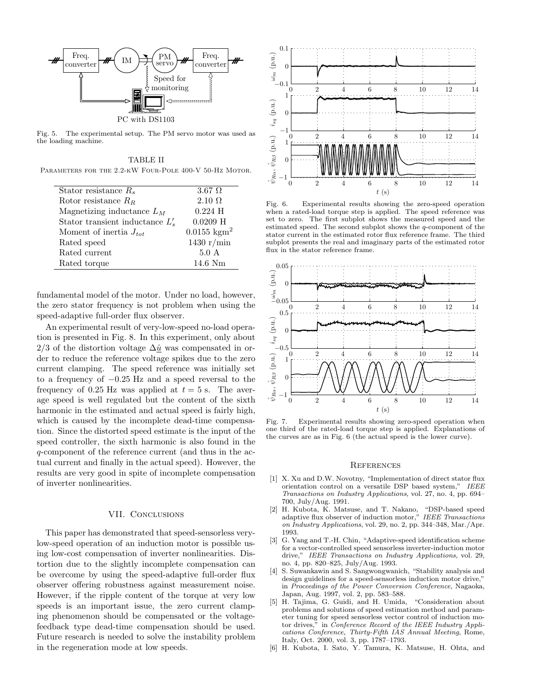

Fig. 5. The experimental setup. The PM servo motor was used as the loading machine.

TABLE II

| PARAMETERS FOR THE 2.2-KW FOUR-POLE 400-V 50-HZ MOTOR. |                                |
|--------------------------------------------------------|--------------------------------|
| Stator resistance $R_s$                                | $3.67 \Omega$                  |
| Rotor resistance $R_R$                                 | $2.10 \Omega$                  |
| Magnetizing inductance $L_M$                           | $0.224$ H                      |
| Stator transient inductance $L'_{s}$                   | $0.0209$ H                     |
| Moment of inertia $J_{tot}$                            | $0.0155 \text{ kg} \text{m}^2$ |
| Rated speed                                            | 1430 $r/min$                   |
| Rated current                                          | $5.0\;{\rm A}$                 |
| Rated torque                                           | 14.6 Nm                        |

fundamental model of the motor. Under no load, however, the zero stator frequency is not problem when using the speed-adaptive full-order flux observer.

An experimental result of very-low-speed no-load operation is presented in Fig. 8. In this experiment, only about 2/3 of the distortion voltage  $\Delta \hat{u}$  was compensated in order to reduce the reference voltage spikes due to the zero current clamping. The speed reference was initially set to <sup>a</sup> frequency of <sup>−</sup>0.<sup>25</sup> Hz and <sup>a</sup> speed reversal to the frequency of 0.25 Hz was applied at  $t = 5$  s. The average speed is well regulated but the content of the sixth harmonic in the estimated and actual speed is fairly high, which is caused by the incomplete dead-time compensation. Since the distorted speed estimate is the input of the speed controller, the sixth harmonic is also found in the q-component of the reference current (and thus in the actual current and finally in the actual speed). However, the results are very good in spite of incomplete compensation of inverter nonlinearities.

# VII. CONCLUSIONS

This paper has demonstrated that speed-sensorless verylow-speed operation of an induction motor is possible using low-cost compensation of inverter nonlinearities. Distortion due to the slightly incomplete compensation can be overcome by using the speed-adaptive full-order flux observer offering robustness against measurement noise. However, if the ripple content of the torque at very low speeds is an important issue, the zero current clamping phenomenon should be compensated or the voltagefeedback type dead-time compensation should be used. Future research is needed to solve the instability problem in the regeneration mode at low speeds.



Fig. 6. Experimental results showing the zero-speed operation when a rated-load torque step is applied. The speed reference was set to zero. The first subplot shows the measured speed and the estimated speed. The second subplot shows the q-component of the stator current in the estimated rotor flux reference frame. The third subplot presents the real and imaginary parts of the estimated rotor flux in the stator reference frame.



Fig. 7. Experimental results showing zero-speed operation when one third of the rated-load torque step is applied. Explanations of the curves are as in Fig. 6 (the actual speed is the lower curve).

#### **REFERENCES**

- [1] X. Xu and D.W. Novotny, "Implementation of direct stator flux orientation control on a versatile DSP based system," IEEE Transactions on Industry Applications, vol. 27, no. 4, pp. 694– 700, July/Aug. 1991.
- [2] H. Kubota, K. Matsuse, and T. Nakano, "DSP-based speed adaptive flux observer of induction motor,"  $\it{IEEE~ Transactions}$ on Industry Applications, vol. 29, no. 2, pp. 344–348, Mar./Apr. 1993.
- [3] G. Yang and T.-H. Chin, "Adaptive-speed identification scheme for a vector-controlled speed sensorless inverter-induction motor drive," IEEE Transactions on Industry Applications, vol. 29, no. 4, pp. 820–825, July/Aug. 1993.
- [4] S. Suwankawin and S. Sangwongwanich, "Stability analysis and design guidelines for a speed-sensorless induction motor drive,' in Proceedings of the Power Conversion Conference, Nagaoka, Japan, Aug. 1997, vol. 2, pp. 583–588.
- [5] H. Tajima, G. Guidi, and H. Umida, "Consideration about problems and solutions of speed estimation method and parameter tuning for speed sensorless vector control of induction motor drives," in Conference Record of the IEEE Industry Applications Conference, Thirty-Fifth IAS Annual Meeting, Rome, Italy, Oct. 2000, vol. 3, pp. 1787–1793.
- [6] H. Kubota, I. Sato, Y. Tamura, K. Matsuse, H. Ohta, and